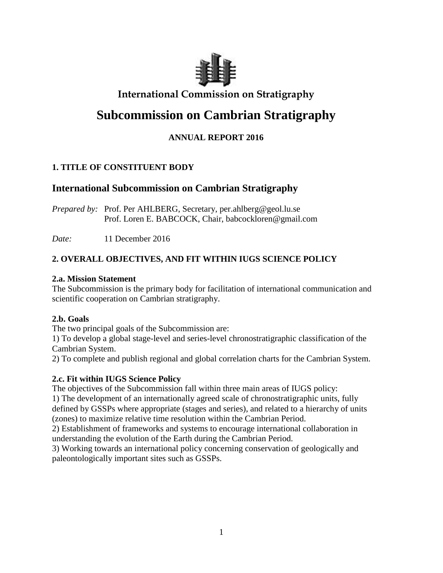

# **International Commission on Stratigraphy**

# **Subcommission on Cambrian Stratigraphy**

# **ANNUAL REPORT 2016**

# **1. TITLE OF CONSTITUENT BODY**

# **International Subcommission on Cambrian Stratigraphy**

*Prepared by:* Prof. Per AHLBERG, Secretary, per.ahlberg@geol.lu.se Prof. Loren E. BABCOCK, Chair, babcockloren@gmail.com

*Date:* 11 December 2016

# **2. OVERALL OBJECTIVES, AND FIT WITHIN IUGS SCIENCE POLICY**

# **2.a. Mission Statement**

The Subcommission is the primary body for facilitation of international communication and scientific cooperation on Cambrian stratigraphy.

# **2.b. Goals**

The two principal goals of the Subcommission are:

1) To develop a global stage-level and series-level chronostratigraphic classification of the Cambrian System.

2) To complete and publish regional and global correlation charts for the Cambrian System.

# **2.c. Fit within IUGS Science Policy**

The objectives of the Subcommission fall within three main areas of IUGS policy:

1) The development of an internationally agreed scale of chronostratigraphic units, fully defined by GSSPs where appropriate (stages and series), and related to a hierarchy of units (zones) to maximize relative time resolution within the Cambrian Period.

2) Establishment of frameworks and systems to encourage international collaboration in understanding the evolution of the Earth during the Cambrian Period.

3) Working towards an international policy concerning conservation of geologically and paleontologically important sites such as GSSPs.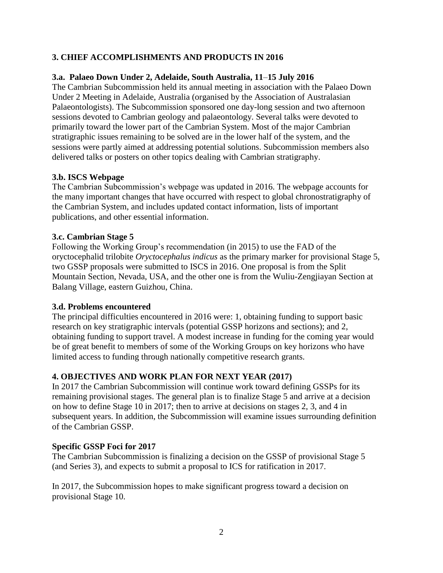# **3. CHIEF ACCOMPLISHMENTS AND PRODUCTS IN 2016**

### **3.a. Palaeo Down Under 2, Adelaide, South Australia, 11**–**15 July 2016**

The Cambrian Subcommission held its annual meeting in association with the Palaeo Down Under 2 Meeting in Adelaide, Australia (organised by the Association of Australasian Palaeontologists). The Subcommission sponsored one day-long session and two afternoon sessions devoted to Cambrian geology and palaeontology. Several talks were devoted to primarily toward the lower part of the Cambrian System. Most of the major Cambrian stratigraphic issues remaining to be solved are in the lower half of the system, and the sessions were partly aimed at addressing potential solutions. Subcommission members also delivered talks or posters on other topics dealing with Cambrian stratigraphy.

## **3.b. ISCS Webpage**

The Cambrian Subcommission's webpage was updated in 2016. The webpage accounts for the many important changes that have occurred with respect to global chronostratigraphy of the Cambrian System, and includes updated contact information, lists of important publications, and other essential information.

## **3.c. Cambrian Stage 5**

Following the Working Group's recommendation (in 2015) to use the FAD of the oryctocephalid trilobite *Oryctocephalus indicus* as the primary marker for provisional Stage 5, two GSSP proposals were submitted to ISCS in 2016. One proposal is from the Split Mountain Section, Nevada, USA, and the other one is from the Wuliu-Zengjiayan Section at Balang Village, eastern Guizhou, China.

#### **3.d. Problems encountered**

The principal difficulties encountered in 2016 were: 1, obtaining funding to support basic research on key stratigraphic intervals (potential GSSP horizons and sections); and 2, obtaining funding to support travel. A modest increase in funding for the coming year would be of great benefit to members of some of the Working Groups on key horizons who have limited access to funding through nationally competitive research grants.

## **4. OBJECTIVES AND WORK PLAN FOR NEXT YEAR (2017)**

In 2017 the Cambrian Subcommission will continue work toward defining GSSPs for its remaining provisional stages. The general plan is to finalize Stage 5 and arrive at a decision on how to define Stage 10 in 2017; then to arrive at decisions on stages 2, 3, and 4 in subsequent years. In addition, the Subcommission will examine issues surrounding definition of the Cambrian GSSP.

#### **Specific GSSP Foci for 2017**

The Cambrian Subcommission is finalizing a decision on the GSSP of provisional Stage 5 (and Series 3), and expects to submit a proposal to ICS for ratification in 2017.

In 2017, the Subcommission hopes to make significant progress toward a decision on provisional Stage 10.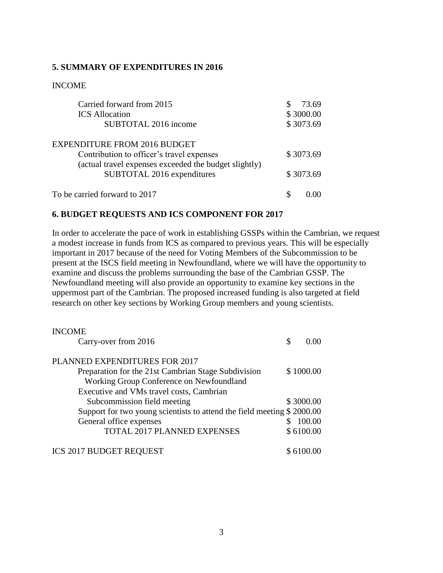#### **5. SUMMARY OF EXPENDITURES IN 2016**

#### INCOME

| Carried forward from 2015                             | 73.69     |
|-------------------------------------------------------|-----------|
| <b>ICS</b> Allocation                                 | \$3000.00 |
| SUBTOTAL 2016 income                                  | \$3073.69 |
| <b>EXPENDITURE FROM 2016 BUDGET</b>                   |           |
| Contribution to officer's travel expenses             | \$3073.69 |
| (actual travel expenses exceeded the budget slightly) |           |
| SUBTOTAL 2016 expenditures                            | \$3073.69 |
| To be carried forward to 2017                         |           |

#### **6. BUDGET REQUESTS AND ICS COMPONENT FOR 2017**

In order to accelerate the pace of work in establishing GSSPs within the Cambrian, we request a modest increase in funds from ICS as compared to previous years. This will be especially important in 2017 because of the need for Voting Members of the Subcommission to be present at the ISCS field meeting in Newfoundland, where we will have the opportunity to examine and discuss the problems surrounding the base of the Cambrian GSSP. The Newfoundland meeting will also provide an opportunity to examine key sections in the uppermost part of the Cambrian. The proposed increased funding is also targeted at field research on other key sections by Working Group members and young scientists.

| <b>INCOME</b>                                                          |   |           |
|------------------------------------------------------------------------|---|-----------|
| Carry-over from 2016                                                   | S | 0.00      |
| PLANNED EXPENDITURES FOR 2017                                          |   |           |
| Preparation for the 21st Cambrian Stage Subdivision                    |   | \$1000.00 |
| Working Group Conference on Newfoundland                               |   |           |
| Executive and VMs travel costs, Cambrian                               |   |           |
| Subcommission field meeting                                            |   | \$3000.00 |
| Support for two young scientists to attend the field meeting \$2000.00 |   |           |
| General office expenses                                                |   | 100.00    |
| TOTAL 2017 PLANNED EXPENSES                                            |   | \$6100.00 |
| <b>ICS 2017 BUDGET REQUEST</b>                                         |   | \$6100.00 |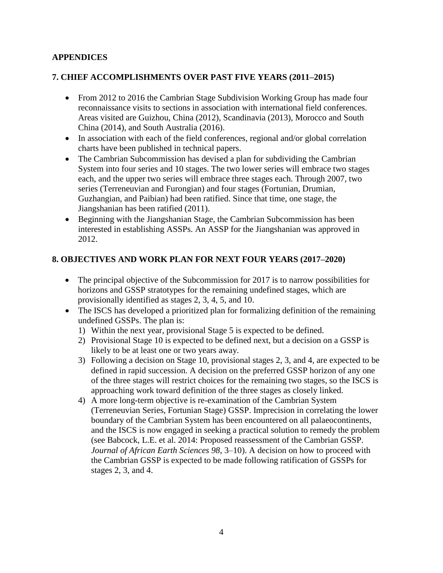# **APPENDICES**

## **7. CHIEF ACCOMPLISHMENTS OVER PAST FIVE YEARS (2011–2015)**

- From 2012 to 2016 the Cambrian Stage Subdivision Working Group has made four reconnaissance visits to sections in association with international field conferences. Areas visited are Guizhou, China (2012), Scandinavia (2013), Morocco and South China (2014), and South Australia (2016).
- In association with each of the field conferences, regional and/or global correlation charts have been published in technical papers.
- The Cambrian Subcommission has devised a plan for subdividing the Cambrian System into four series and 10 stages. The two lower series will embrace two stages each, and the upper two series will embrace three stages each. Through 2007, two series (Terreneuvian and Furongian) and four stages (Fortunian, Drumian, Guzhangian, and Paibian) had been ratified. Since that time, one stage, the Jiangshanian has been ratified (2011).
- Beginning with the Jiangshanian Stage, the Cambrian Subcommission has been interested in establishing ASSPs. An ASSP for the Jiangshanian was approved in 2012.

# **8. OBJECTIVES AND WORK PLAN FOR NEXT FOUR YEARS (2017–2020)**

- The principal objective of the Subcommission for 2017 is to narrow possibilities for horizons and GSSP stratotypes for the remaining undefined stages, which are provisionally identified as stages 2, 3, 4, 5, and 10.
- The ISCS has developed a prioritized plan for formalizing definition of the remaining undefined GSSPs. The plan is:
	- 1) Within the next year, provisional Stage 5 is expected to be defined.
	- 2) Provisional Stage 10 is expected to be defined next, but a decision on a GSSP is likely to be at least one or two years away.
	- 3) Following a decision on Stage 10, provisional stages 2, 3, and 4, are expected to be defined in rapid succession. A decision on the preferred GSSP horizon of any one of the three stages will restrict choices for the remaining two stages, so the ISCS is approaching work toward definition of the three stages as closely linked.
	- 4) A more long-term objective is re-examination of the Cambrian System (Terreneuvian Series, Fortunian Stage) GSSP. Imprecision in correlating the lower boundary of the Cambrian System has been encountered on all palaeocontinents, and the ISCS is now engaged in seeking a practical solution to remedy the problem (see Babcock, L.E. et al. 2014: Proposed reassessment of the Cambrian GSSP. *Journal of African Earth Sciences 98*, 3–10). A decision on how to proceed with the Cambrian GSSP is expected to be made following ratification of GSSPs for stages 2, 3, and 4.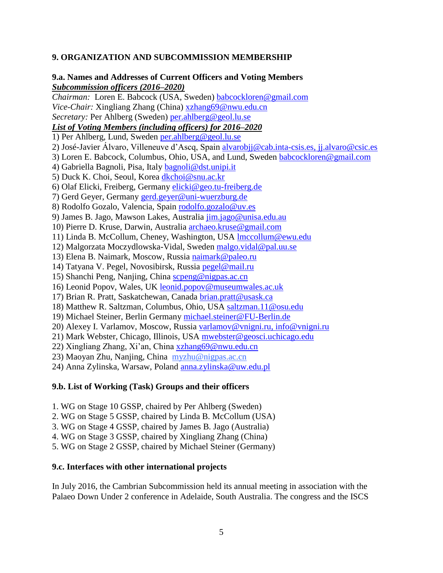## **9. ORGANIZATION AND SUBCOMMISSION MEMBERSHIP**

#### **9.a. Names and Addresses of Current Officers and Voting Members** *Subcommission officers (2016–2020)*

*Chairman:*Loren E. Babcock (USA, Sweden) [babcockloren@gmail.com](mailto:loren.babcock@geol.lu.se) *Vice-Chair:* Xingliang Zhang (China) [xzhang69@nwu.edu.cn](mailto:xzhang69@nwu.edu.cn) *Secretary:* Per Ahlberg (Sweden) [per.ahlberg@geol.lu.se](mailto:per.ahlberg@geol.lu.se) *List of Voting Members (including officers) for 2016–2020* 1) Per Ahlberg, Lund, Sweden [per.ahlberg@geol.lu.se](mailto:per.ahlberg@geol.lu.se) 2) José-Javier Álvaro, Villeneuve d'Ascq, Spain [alvarobjj@cab.inta-csis.es,](mailto:alvarobjj@cab.inta-csis.es) [jj.alvaro@csic.es](mailto:jj.alvaro@csic.es) 3) Loren E. Babcock, Columbus, Ohio, USA, and Lund, Sweden [babcockloren@gmail.com](mailto:babcockloren@gmail.com) 4) Gabriella Bagnoli, Pisa, Italy [bagnoli@dst.unipi.it](mailto:bagnoli@dst.unipi.it) 5) Duck K. Choi, Seoul, Korea [dkchoi@snu.ac.kr](mailto:dkchoi@snu.ac.kr) 6) Olaf Elicki, Freiberg, Germany [elicki@geo.tu-freiberg.de](mailto:elicki@geo.tu-freiberg.de) 7) Gerd Geyer, Germany [gerd.geyer@uni-wuerzburg.de](mailto:gerd.geyer@uni-wuerzburg.de) 8) Rodolfo Gozalo, Valencia, Spain [rodolfo.gozalo@uv.es](mailto:rodolfo.gozalo@uv.es) 9) James B. Jago, Mawson Lakes, Australia [jim.jago@unisa.edu.au](mailto:jim.jago@unisa.edu.au) 10) Pierre D. Kruse, Darwin, Australia [archaeo.kruse@gmail.com](mailto:archaeo.kruse@gmail.com) 11) Linda B. McCollum, Cheney, Washington, USA [lmccollum@ewu.edu](mailto:lmccollum@ewu.edu) 12) Malgorzata Moczydlowska-Vidal, Sweden [malgo.vidal@pal.uu.se](mailto:malgo.vidal@pal.uu.se) 13) Elena B. Naimark, Moscow, Russia [naimark@paleo.ru](mailto:naimark@paleo.ru) 14) Tatyana V. Pegel, Novosibirsk, Russia [pegel@mail.ru](mailto:pegel@mail.ru) 15) Shanchi Peng, Nanjing, China [scpeng@nigpas.ac.cn](mailto:scpeng@nigpas.ac.cn) 16) Leonid Popov, Wales, UK leonid.popov@museumwales.ac.uk 17) Brian R. Pratt, Saskatchewan, Canada [brian.pratt@usask.ca](mailto:brian.pratt@usask.ca) 18) Matthew R. Saltzman, Columbus, Ohio, USA [saltzman.11@osu.edu](mailto:saltzman.11@osu.edu) 19) Michael Steiner, Berlin Germany [michael.steiner@FU-Berlin.de](mailto:michael.steiner@FU-Berlin.de) 20) Alexey I. Varlamov, Moscow, Russia [varlamov@vnigni.ru,](mailto:varlamov@vnigni.ru) [info@vnigni.ru](mailto:info@vnigni.ru) 21) Mark Webster, Chicago, Illinois, USA [mwebster@geosci.uchicago.edu](mailto:mwebster@geosci.uchicago.edu) 22) Xingliang Zhang, Xi'an, China [xzhang69@nwu.edu.cn](mailto:xzhang69@nwu.edu.cn) 23) Maoyan Zhu, Nanjing, China [myzhu@nigpas.ac.cn](mailto:myzhu@nigpas.ac.cn) 24) Anna Zylinska, Warsaw, Poland [anna.zylinska@uw.edu.pl](mailto:anna.zylinska@uw.edu.pl)

#### **9.b. List of Working (Task) Groups and their officers**

- 1. WG on Stage 10 GSSP, chaired by Per Ahlberg (Sweden)
- 2. WG on Stage 5 GSSP, chaired by Linda B. McCollum (USA)
- 3. WG on Stage 4 GSSP, chaired by James B. Jago (Australia)
- 4. WG on Stage 3 GSSP, chaired by Xingliang Zhang (China)
- 5. WG on Stage 2 GSSP, chaired by Michael Steiner (Germany)

#### **9.c. Interfaces with other international projects**

In July 2016, the Cambrian Subcommission held its annual meeting in association with the Palaeo Down Under 2 conference in Adelaide, South Australia. The congress and the ISCS